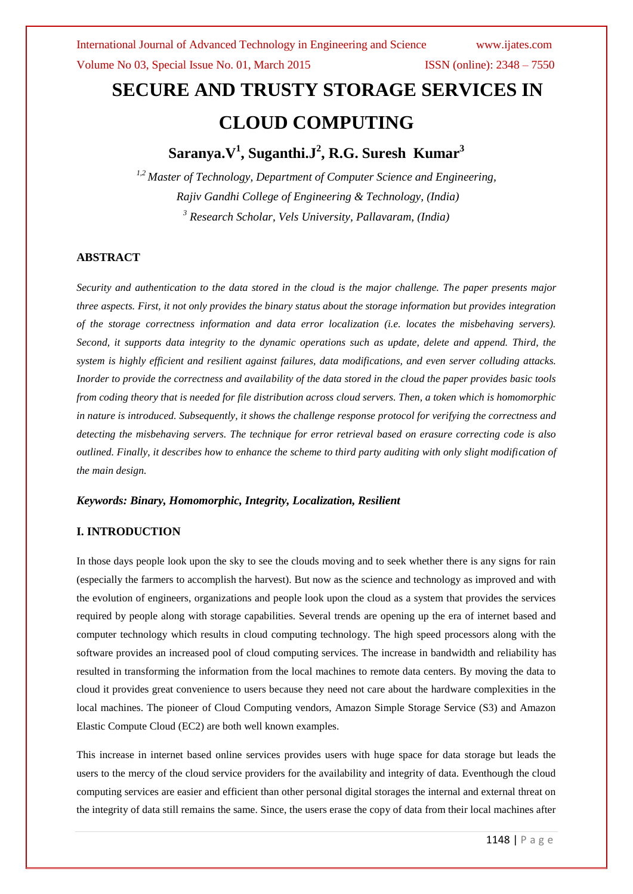# **SECURE AND TRUSTY STORAGE SERVICES IN CLOUD COMPUTING**

# **Saranya.V<sup>1</sup> , Suganthi.J<sup>2</sup> , R.G. Suresh Kumar<sup>3</sup>**

*1,2 Master of Technology, Department of Computer Science and Engineering, Rajiv Gandhi College of Engineering & Technology, (India) <sup>3</sup> Research Scholar, Vels University, Pallavaram, (India)*

### **ABSTRACT**

*Security and authentication to the data stored in the cloud is the major challenge. The paper presents major three aspects. First, it not only provides the binary status about the storage information but provides integration of the storage correctness information and data error localization (i.e. locates the misbehaving servers). Second, it supports data integrity to the dynamic operations such as update, delete and append. Third, the system is highly efficient and resilient against failures, data modifications, and even server colluding attacks. Inorder to provide the correctness and availability of the data stored in the cloud the paper provides basic tools from coding theory that is needed for file distribution across cloud servers. Then, a token which is homomorphic in nature is introduced. Subsequently, it shows the challenge response protocol for verifying the correctness and detecting the misbehaving servers. The technique for error retrieval based on erasure correcting code is also outlined. Finally, it describes how to enhance the scheme to third party auditing with only slight modification of the main design.*

### *Keywords: Binary, Homomorphic, Integrity, Localization, Resilient*

### **I. INTRODUCTION**

In those days people look upon the sky to see the clouds moving and to seek whether there is any signs for rain (especially the farmers to accomplish the harvest). But now as the science and technology as improved and with the evolution of engineers, organizations and people look upon the cloud as a system that provides the services required by people along with storage capabilities. Several trends are opening up the era of internet based and computer technology which results in cloud computing technology. The high speed processors along with the software provides an increased pool of cloud computing services. The increase in bandwidth and reliability has resulted in transforming the information from the local machines to remote data centers. By moving the data to cloud it provides great convenience to users because they need not care about the hardware complexities in the local machines. The pioneer of Cloud Computing vendors, Amazon Simple Storage Service (S3) and Amazon Elastic Compute Cloud (EC2) are both well known examples.

This increase in internet based online services provides users with huge space for data storage but leads the users to the mercy of the cloud service providers for the availability and integrity of data. Eventhough the cloud computing services are easier and efficient than other personal digital storages the internal and external threat on the integrity of data still remains the same. Since, the users erase the copy of data from their local machines after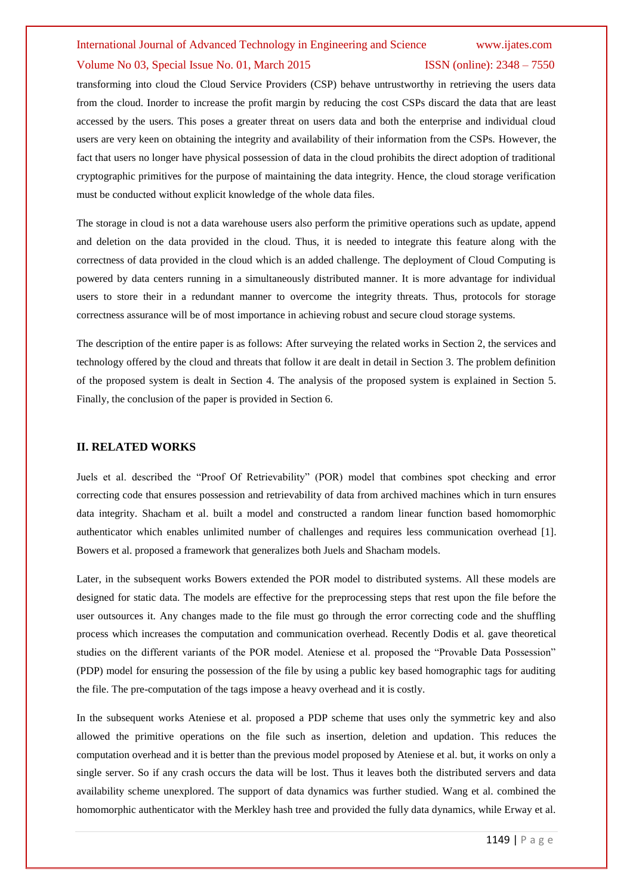#### Volume No 03, Special Issue No. 01, March 2015 ISSN (online): 2348 – 7550

transforming into cloud the Cloud Service Providers (CSP) behave untrustworthy in retrieving the users data from the cloud. Inorder to increase the profit margin by reducing the cost CSPs discard the data that are least accessed by the users. This poses a greater threat on users data and both the enterprise and individual cloud users are very keen on obtaining the integrity and availability of their information from the CSPs. However, the fact that users no longer have physical possession of data in the cloud prohibits the direct adoption of traditional cryptographic primitives for the purpose of maintaining the data integrity. Hence, the cloud storage verification must be conducted without explicit knowledge of the whole data files.

The storage in cloud is not a data warehouse users also perform the primitive operations such as update, append and deletion on the data provided in the cloud. Thus, it is needed to integrate this feature along with the correctness of data provided in the cloud which is an added challenge. The deployment of Cloud Computing is powered by data centers running in a simultaneously distributed manner. It is more advantage for individual users to store their in a redundant manner to overcome the integrity threats. Thus, protocols for storage correctness assurance will be of most importance in achieving robust and secure cloud storage systems.

The description of the entire paper is as follows: After surveying the related works in Section 2, the services and technology offered by the cloud and threats that follow it are dealt in detail in Section 3. The problem definition of the proposed system is dealt in Section 4. The analysis of the proposed system is explained in Section 5. Finally, the conclusion of the paper is provided in Section 6.

#### **II. RELATED WORKS**

Juels et al. described the "Proof Of Retrievability" (POR) model that combines spot checking and error correcting code that ensures possession and retrievability of data from archived machines which in turn ensures data integrity. Shacham et al. built a model and constructed a random linear function based homomorphic authenticator which enables unlimited number of challenges and requires less communication overhead [1]. Bowers et al. proposed a framework that generalizes both Juels and Shacham models.

Later, in the subsequent works Bowers extended the POR model to distributed systems. All these models are designed for static data. The models are effective for the preprocessing steps that rest upon the file before the user outsources it. Any changes made to the file must go through the error correcting code and the shuffling process which increases the computation and communication overhead. Recently Dodis et al. gave theoretical studies on the different variants of the POR model. Ateniese et al. proposed the "Provable Data Possession" (PDP) model for ensuring the possession of the file by using a public key based homographic tags for auditing the file. The pre-computation of the tags impose a heavy overhead and it is costly.

In the subsequent works Ateniese et al. proposed a PDP scheme that uses only the symmetric key and also allowed the primitive operations on the file such as insertion, deletion and updation. This reduces the computation overhead and it is better than the previous model proposed by Ateniese et al. but, it works on only a single server. So if any crash occurs the data will be lost. Thus it leaves both the distributed servers and data availability scheme unexplored. The support of data dynamics was further studied. Wang et al. combined the homomorphic authenticator with the Merkley hash tree and provided the fully data dynamics, while Erway et al.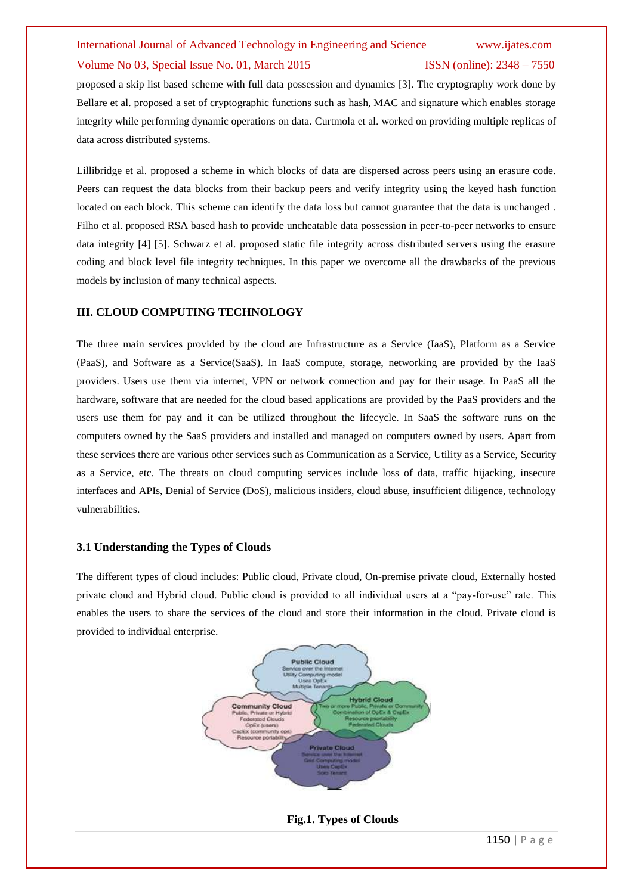## International Journal of Advanced Technology in Engineering and Science www.ijates.com Volume No 03, Special Issue No. 01, March 2015 ISSN (online): 2348 – 7550

proposed a skip list based scheme with full data possession and dynamics [3]. The cryptography work done by Bellare et al. proposed a set of cryptographic functions such as hash, MAC and signature which enables storage integrity while performing dynamic operations on data. Curtmola et al. worked on providing multiple replicas of data across distributed systems.

Lillibridge et al. proposed a scheme in which blocks of data are dispersed across peers using an erasure code. Peers can request the data blocks from their backup peers and verify integrity using the keyed hash function located on each block. This scheme can identify the data loss but cannot guarantee that the data is unchanged . Filho et al. proposed RSA based hash to provide uncheatable data possession in peer-to-peer networks to ensure data integrity [4] [5]. Schwarz et al. proposed static file integrity across distributed servers using the erasure coding and block level file integrity techniques. In this paper we overcome all the drawbacks of the previous models by inclusion of many technical aspects.

### **III. CLOUD COMPUTING TECHNOLOGY**

The three main services provided by the cloud are Infrastructure as a Service (IaaS), Platform as a Service (PaaS), and Software as a Service(SaaS). In IaaS compute, storage, networking are provided by the IaaS providers. Users use them via internet, VPN or network connection and pay for their usage. In PaaS all the hardware, software that are needed for the cloud based applications are provided by the PaaS providers and the users use them for pay and it can be utilized throughout the lifecycle. In SaaS the software runs on the computers owned by the SaaS providers and installed and managed on computers owned by users. Apart from these services there are various other services such as Communication as a Service, Utility as a Service, Security as a Service, etc. The threats on cloud computing services include loss of data, traffic hijacking, insecure interfaces and APIs, Denial of Service (DoS), malicious insiders, cloud abuse, insufficient diligence, technology vulnerabilities.

### **3.1 Understanding the Types of Clouds**

The different types of cloud includes: Public cloud, Private cloud, On-premise private cloud, Externally hosted private cloud and Hybrid cloud. Public cloud is provided to all individual users at a "pay-for-use" rate. This enables the users to share the services of the cloud and store their information in the cloud. Private cloud is provided to individual enterprise.



 **Fig.1. Types of Clouds**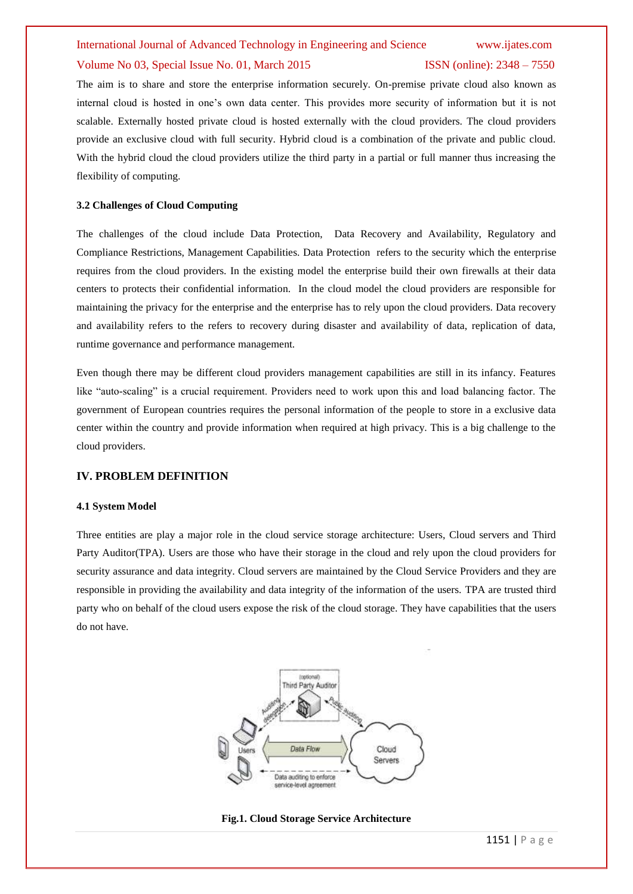#### Volume No 03, Special Issue No. 01, March 2015 ISSN (online): 2348 – 7550

The aim is to share and store the enterprise information securely. On-premise private cloud also known as internal cloud is hosted in one's own data center. This provides more security of information but it is not scalable. Externally hosted private cloud is hosted externally with the cloud providers. The cloud providers provide an exclusive cloud with full security. Hybrid cloud is a combination of the private and public cloud. With the hybrid cloud the cloud providers utilize the third party in a partial or full manner thus increasing the flexibility of computing.

#### **3.2 Challenges of Cloud Computing**

The challenges of the cloud include Data Protection, Data Recovery and Availability, Regulatory and Compliance Restrictions, Management Capabilities. Data Protection refers to the security which the enterprise requires from the cloud providers. In the existing model the enterprise build their own firewalls at their data centers to protects their confidential information. In the cloud model the cloud providers are responsible for maintaining the privacy for the enterprise and the enterprise has to rely upon the cloud providers. Data recovery and availability refers to the refers to recovery during disaster and availability of data, replication of data, runtime governance and performance management.

Even though there may be different cloud providers management capabilities are still in its infancy. Features like "auto-scaling" is a crucial requirement. Providers need to work upon this and load balancing factor. The government of European countries requires the personal information of the people to store in a exclusive data center within the country and provide information when required at high privacy. This is a big challenge to the cloud providers.

#### **IV. PROBLEM DEFINITION**

#### **4.1 System Model**

Three entities are play a major role in the cloud service storage architecture: Users, Cloud servers and Third Party Auditor(TPA). Users are those who have their storage in the cloud and rely upon the cloud providers for security assurance and data integrity. Cloud servers are maintained by the Cloud Service Providers and they are responsible in providing the availability and data integrity of the information of the users. TPA are trusted third party who on behalf of the cloud users expose the risk of the cloud storage. They have capabilities that the users do not have.



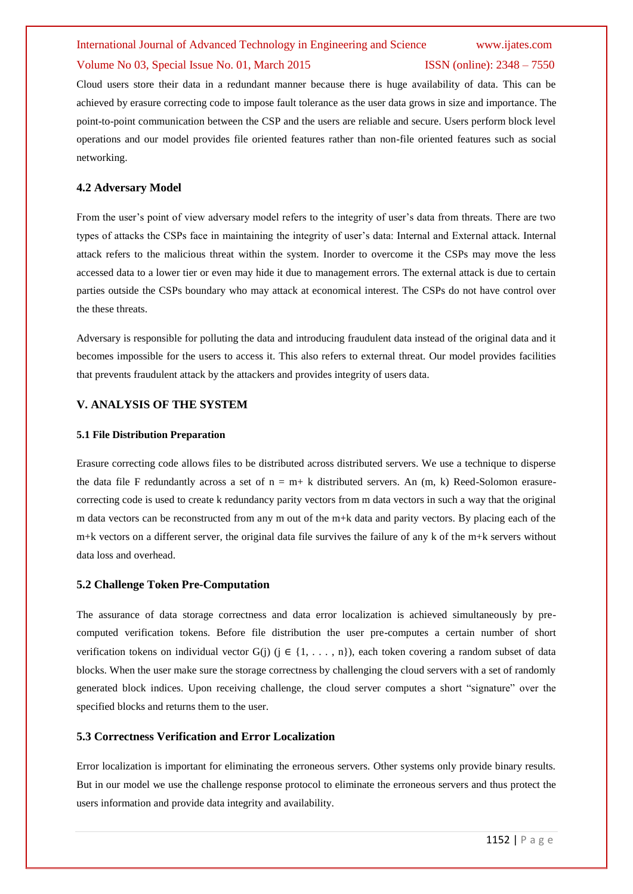#### Volume No 03, Special Issue No. 01, March 2015 ISSN (online): 2348 – 7550

Cloud users store their data in a redundant manner because there is huge availability of data. This can be achieved by erasure correcting code to impose fault tolerance as the user data grows in size and importance. The point-to-point communication between the CSP and the users are reliable and secure. Users perform block level operations and our model provides file oriented features rather than non-file oriented features such as social networking.

#### **4.2 Adversary Model**

From the user's point of view adversary model refers to the integrity of user's data from threats. There are two types of attacks the CSPs face in maintaining the integrity of user's data: Internal and External attack. Internal attack refers to the malicious threat within the system. Inorder to overcome it the CSPs may move the less accessed data to a lower tier or even may hide it due to management errors. The external attack is due to certain parties outside the CSPs boundary who may attack at economical interest. The CSPs do not have control over the these threats.

Adversary is responsible for polluting the data and introducing fraudulent data instead of the original data and it becomes impossible for the users to access it. This also refers to external threat. Our model provides facilities that prevents fraudulent attack by the attackers and provides integrity of users data.

#### **V. ANALYSIS OF THE SYSTEM**

#### **5.1 File Distribution Preparation**

Erasure correcting code allows files to be distributed across distributed servers. We use a technique to disperse the data file F redundantly across a set of  $n = m + k$  distributed servers. An  $(m, k)$  Reed-Solomon erasurecorrecting code is used to create k redundancy parity vectors from m data vectors in such a way that the original m data vectors can be reconstructed from any m out of the m+k data and parity vectors. By placing each of the m+k vectors on a different server, the original data file survives the failure of any k of the m+k servers without data loss and overhead.

#### **5.2 Challenge Token Pre-Computation**

The assurance of data storage correctness and data error localization is achieved simultaneously by precomputed verification tokens. Before file distribution the user pre-computes a certain number of short verification tokens on individual vector G(j) ( $j \in \{1, \ldots, n\}$ ), each token covering a random subset of data blocks. When the user make sure the storage correctness by challenging the cloud servers with a set of randomly generated block indices. Upon receiving challenge, the cloud server computes a short "signature" over the specified blocks and returns them to the user.

#### **5.3 Correctness Verification and Error Localization**

Error localization is important for eliminating the erroneous servers. Other systems only provide binary results. But in our model we use the challenge response protocol to eliminate the erroneous servers and thus protect the users information and provide data integrity and availability.